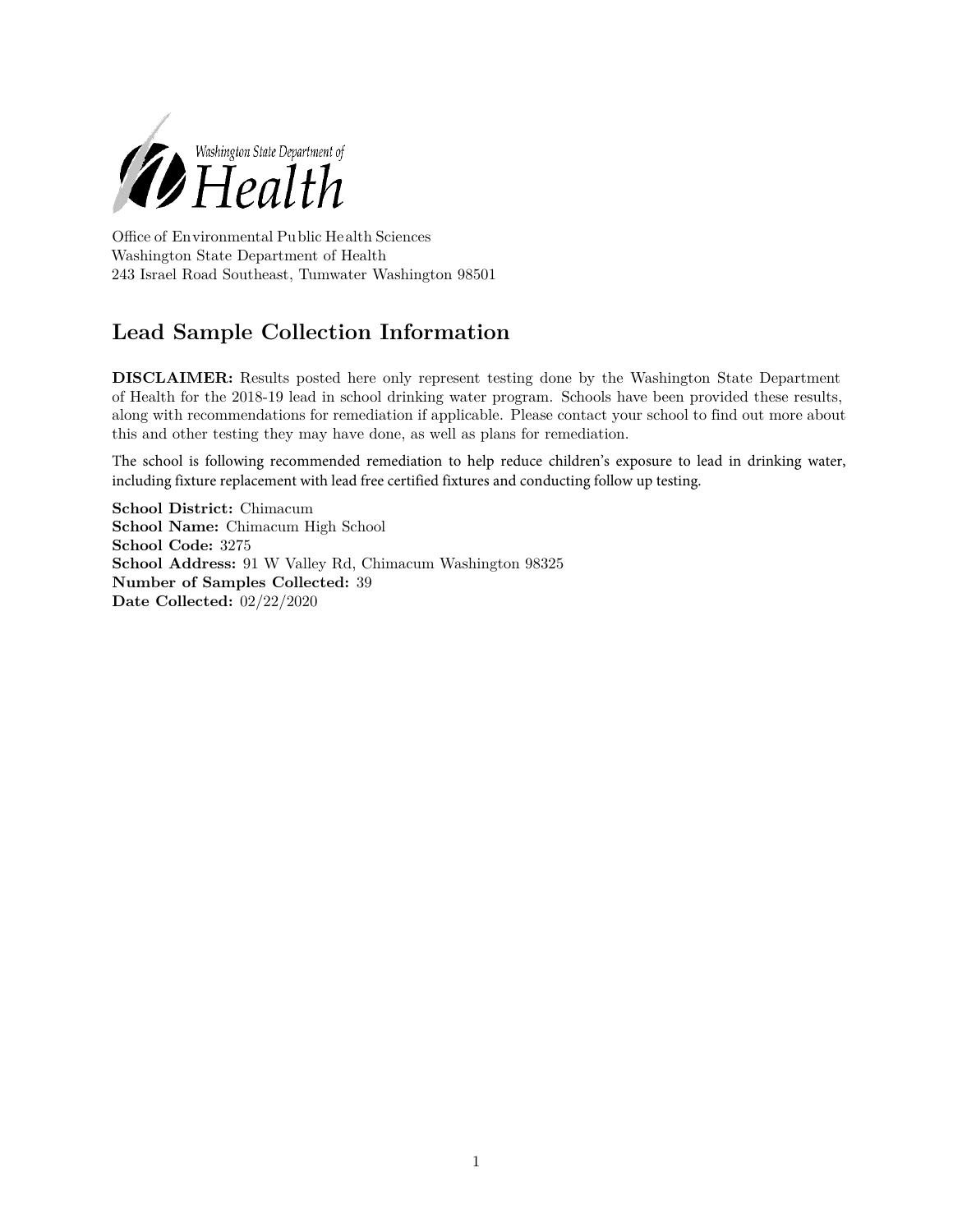

Office of Environmental Public Health Sciences Washington State Department of Health 243 Israel Road Southeast, Tumwater Washington 98501

## **Lead Sample Collection Information**

**DISCLAIMER:** Results posted here only represent testing done by the Washington State Department of Health for the 2018-19 lead in school drinking water program. Schools have been provided these results, along with recommendations for remediation if applicable. Please contact your school to find out more about this and other testing they may have done, as well as plans for remediation.

The school is following recommended remediation to help reduce children's exposure to lead in drinking water, including fixture replacement with lead free certified fixtures and conducting follow up testing.

**School District:** Chimacum **School Name:** Chimacum High School **School Code:** 3275 **School Address:** 91 W Valley Rd, Chimacum Washington 98325 **Number of Samples Collected:** 39 **Date Collected:** 02/22/2020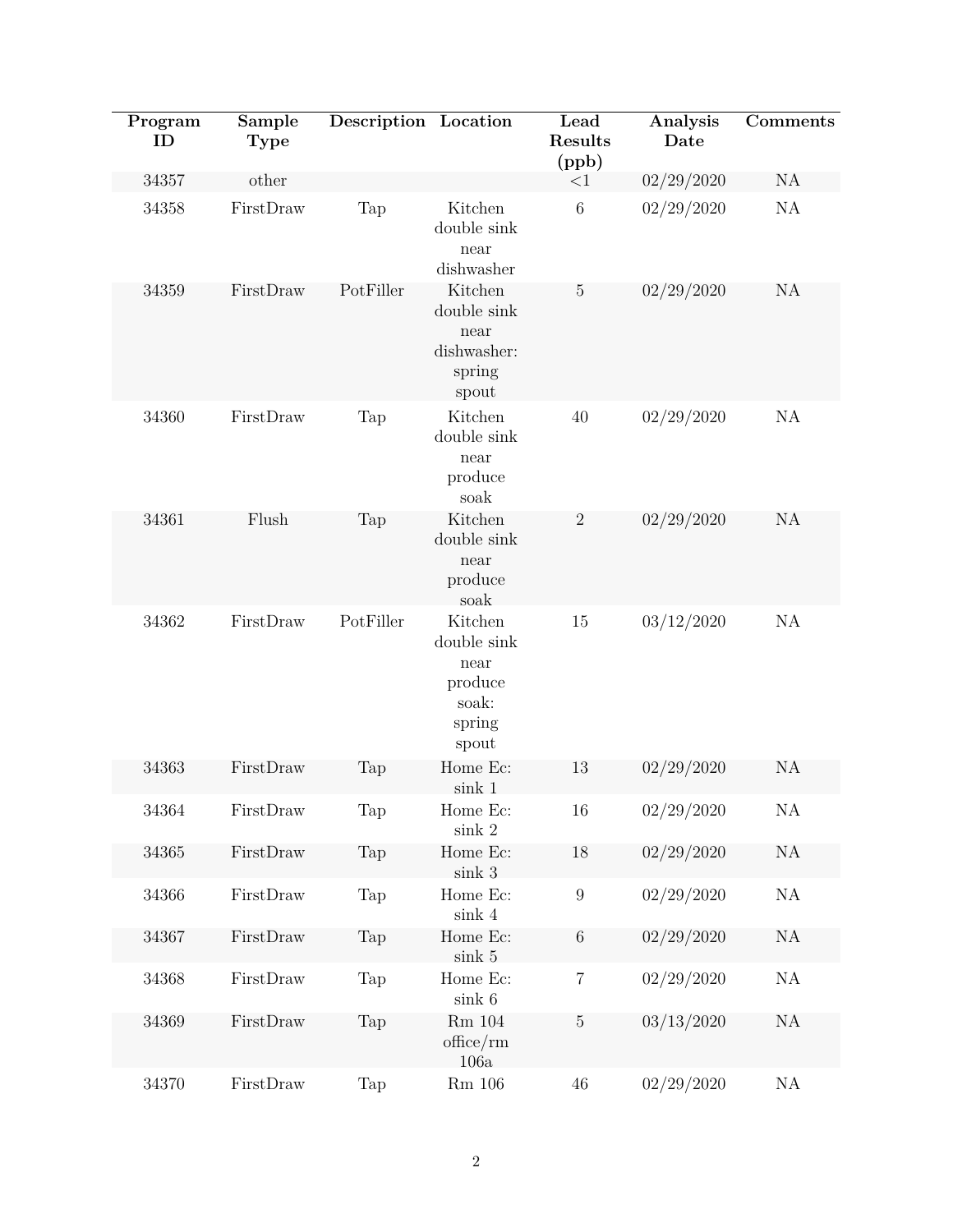|  | Program<br>ID | Sample<br><b>Type</b> | Description Location |                                                                       | Lead<br>Results<br>(ppb) | Analysis<br>Date | Comments      |
|--|---------------|-----------------------|----------------------|-----------------------------------------------------------------------|--------------------------|------------------|---------------|
|  | 34357         | other                 |                      |                                                                       | <1                       | 02/29/2020       | NA            |
|  | 34358         | FirstDraw             | Tap                  | Kitchen<br>double sink<br>near<br>dishwasher                          | $\,6\,$                  | 02/29/2020       | $\mathrm{NA}$ |
|  | 34359         | FirstDraw             | PotFiller            | Kitchen<br>double sink<br>near<br>dishwasher:<br>spring<br>spout      | $\overline{5}$           | 02/29/2020       | NA            |
|  | 34360         | FirstDraw             | Tap                  | Kitchen<br>double sink<br>near<br>produce<br>soak                     | 40                       | 02/29/2020       | $\mathrm{NA}$ |
|  | 34361         | Flush                 | Tap                  | Kitchen<br>double sink<br>near<br>produce<br>soak                     | $\sqrt{2}$               | 02/29/2020       | NA            |
|  | 34362         | FirstDraw             | PotFiller            | Kitchen<br>double sink<br>near<br>produce<br>soak:<br>spring<br>spout | 15                       | 03/12/2020       | $\mathrm{NA}$ |
|  | 34363         | FirstDraw             | Tap                  | Home Ec:<br>sink 1                                                    | 13                       | 02/29/2020       | NA            |
|  | 34364         | FirstDraw             | Tap                  | Home Ec:<br>sink 2                                                    | 16                       | 02/29/2020       | $\rm NA$      |
|  | 34365         | FirstDraw             | Tap                  | Home Ec:<br>sink 3                                                    | 18                       | 02/29/2020       | $\rm NA$      |
|  | 34366         | FirstDraw             | Tap                  | Home Ec:<br>$\sin k$ 4                                                | $\boldsymbol{9}$         | 02/29/2020       | $\mathrm{NA}$ |
|  | 34367         | FirstDraw             | Tap                  | Home Ec:<br>$\sin k$ 5                                                | $\,6\,$                  | 02/29/2020       | NA            |
|  | 34368         | FirstDraw             | Tap                  | Home Ec:<br>$\sin k$ 6                                                | 7                        | 02/29/2020       | NA            |
|  | 34369         | FirstDraw             | Tap                  | $Rm$ 104<br>$of\text{fice}/\text{rm}$<br>106a                         | $\bf 5$                  | 03/13/2020       | $\mathrm{NA}$ |
|  | 34370         | FirstDraw             | Tap                  | $\rm Rm$ 106                                                          | $46\,$                   | 02/29/2020       | NA            |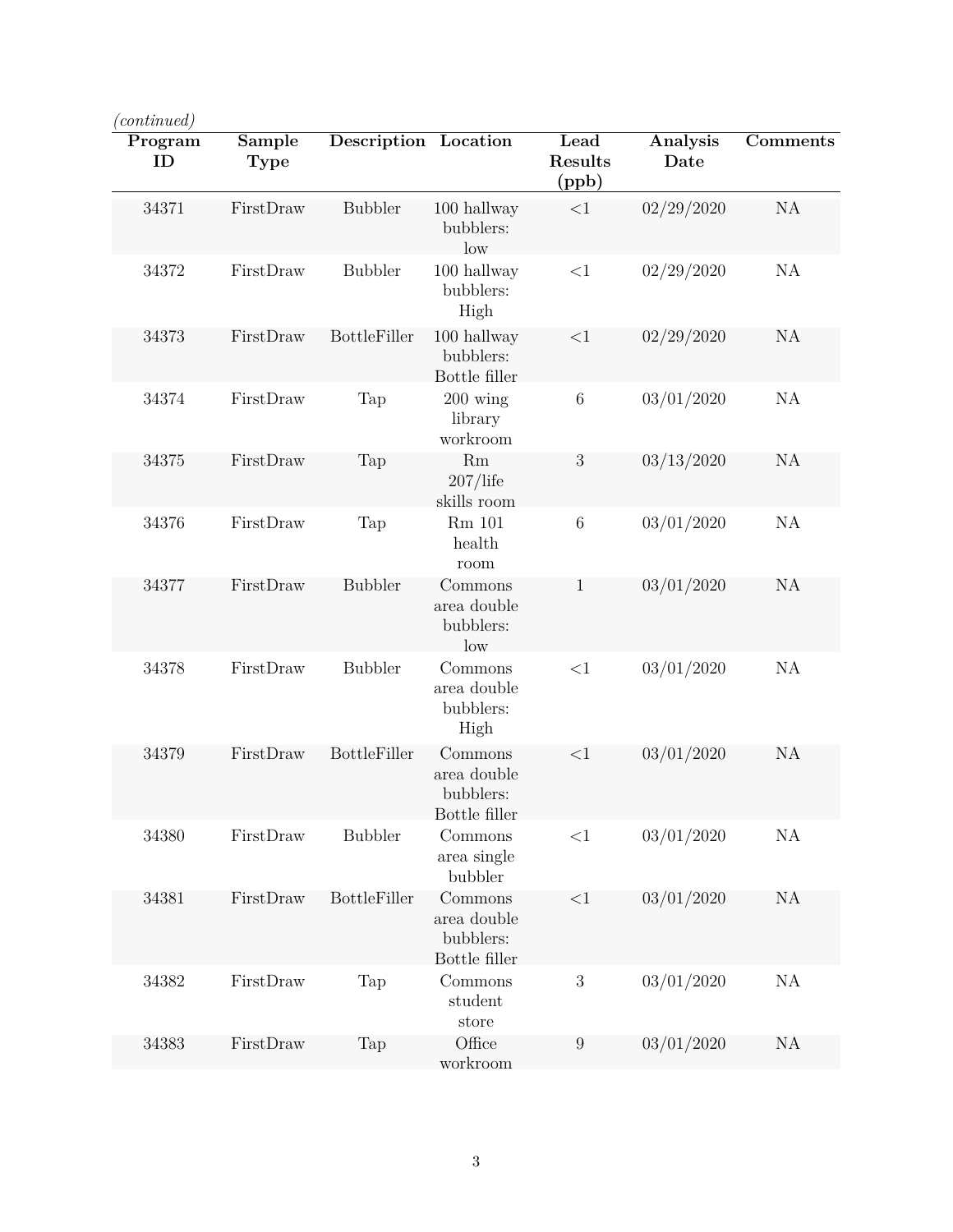| 'continued)   |                       |                      |                                                      |                          |                  |          |  |
|---------------|-----------------------|----------------------|------------------------------------------------------|--------------------------|------------------|----------|--|
| Program<br>ID | Sample<br><b>Type</b> | Description Location |                                                      | Lead<br>Results<br>(ppb) | Analysis<br>Date | Comments |  |
| 34371         | FirstDraw             | <b>Bubbler</b>       | 100 hallway<br>bubblers:<br>low                      | ${<}1$                   | 02/29/2020       | NA       |  |
| 34372         | FirstDraw             | <b>Bubbler</b>       | 100 hallway<br>bubblers:<br>High                     | ${<}1$                   | 02/29/2020       | NA       |  |
| 34373         | FirstDraw             | <b>BottleFiller</b>  | 100 hallway<br>bubblers:<br>Bottle filler            | <1                       | 02/29/2020       | NA       |  |
| 34374         | FirstDraw             | Tap                  | $200 \text{ wing}$<br>library<br>workroom            | $\boldsymbol{6}$         | 03/01/2020       | NA       |  |
| 34375         | FirstDraw             | Tap                  | Rm<br>$207/l$ ife<br>skills room                     | 3                        | 03/13/2020       | NA       |  |
| 34376         | FirstDraw             | Tap                  | Rm 101<br>health<br>room                             | $\boldsymbol{6}$         | 03/01/2020       | NA       |  |
| 34377         | FirstDraw             | <b>Bubbler</b>       | Commons<br>area double<br>bubblers:<br>low           | 1                        | 03/01/2020       | NA       |  |
| 34378         | FirstDraw             | <b>Bubbler</b>       | Commons<br>area double<br>bubblers:<br>High          | ${<}1$                   | 03/01/2020       | NA       |  |
| 34379         | FirstDraw             | <b>BottleFiller</b>  | Commons<br>area double<br>bubblers:<br>Bottle filler | <1                       | 03/01/2020       | NA       |  |
| 34380         | FirstDraw             | <b>Bubbler</b>       | Commons<br>area single<br>bubbler                    | ${<}1$                   | 03/01/2020       | NA       |  |
| 34381         | FirstDraw             | <b>BottleFiller</b>  | Commons<br>area double<br>bubblers:<br>Bottle filler | ${<}1$                   | 03/01/2020       | NA       |  |
| 34382         | FirstDraw             | Tap                  | Commons<br>student<br>store                          | $\boldsymbol{3}$         | 03/01/2020       | NA       |  |
| 34383         | FirstDraw             | Tap                  | Office<br>workroom                                   | $\boldsymbol{9}$         | 03/01/2020       | NA       |  |